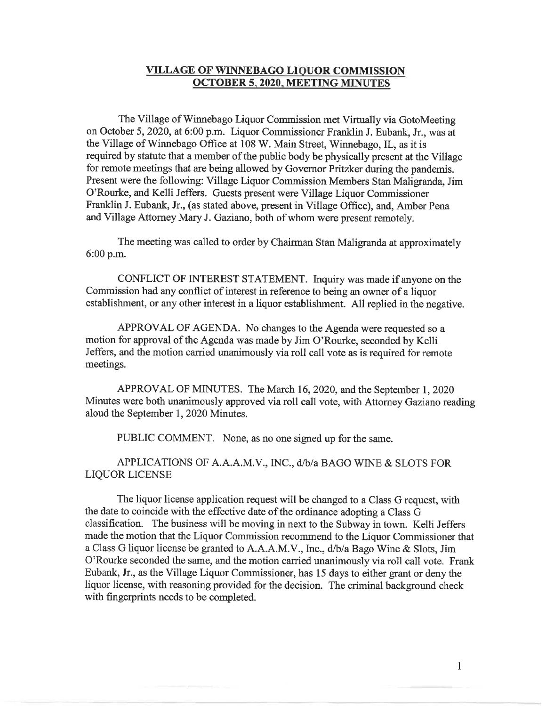## **VILLAGE OF WINNEBAGO LIQUOR COMMISSION OCTOBER 5, 2020, MEETING MINUTES**

The Village of Winnebago Liquor Commission met Virtually via GotoMeeting on October 5, 2020, at 6:00 p.m. Liquor Commissioner Franklin J. Eubank, Jr., was at the Village of Winnebago Office at 108 W. Main Street, Winnebago, IL, as it is required by statute that a member of the public body be physically present at the Village for remote meetings that are being allowed by Governor Pritzker during the pandemis. Present were the following: Village Liquor Commission Members Stan Maligranda, Jim O'Rourke, and Kelli Jeffers. Guests present were Village Liquor Commissioner Franklin J. Eubank, Jr., (as stated above, present in Village Office), and, Amber Pena and Village Attorney Mary J. Gaziano, both of whom were present remotely.

The meeting was called to order by Chairman Stan Maligranda at approximately 6:00 p.m.

CONFLICT OF INTEREST STATEMENT. Inquiry was made if anyone on the Commission had any conflict of interest in reference to being an owner of a liquor establishment, or any other interest in a liquor establishment. All replied in the negative.

APPROVAL OF AGENDA. No changes to the Agenda were requested so a motion for approval of the Agenda was made by Jim O'Rourke, seconded by Kelli Jeffers, and the motion carried unanimously via roll call vote as is required for remote meetings.

APPROVAL OF MINUTES. The March 16, 2020, and the September 1, 2020 Minutes were both unanimously approved via roll call vote, with Attorney Gaziano reading aloud the September 1, 2020 Minutes.

PUBLIC COMMENT. None, as no one signed up for the same.

APPLICATIONS OF A.A.A.M.V., INC., d/b/a BAGO WINE & SLOTS FOR LIQUOR LICENSE

The liquor license application request will be changed to a Class G request, with the date to coincide with the effective date of the ordinance adopting a Class G classification. The business will be moving in next to the Subway in town. Kelli Jeffers made the motion that the Liquor Commission recommend to the Liquor Commissioner that a Class G liquor license be granted to A.A.A.M.V., Inc., d/b/a Bago Wine & Slots, Jim O'Rourke seconded the same, and the motion carried unanimously via roll call vote. Frank Eubank, Jr., as the Village Liquor Commissioner, has 15 days to either grant or deny the liquor license, with reasoning provided for the decision. The criminal background check with fingerprints needs to be completed.

 $\mathbf{1}$